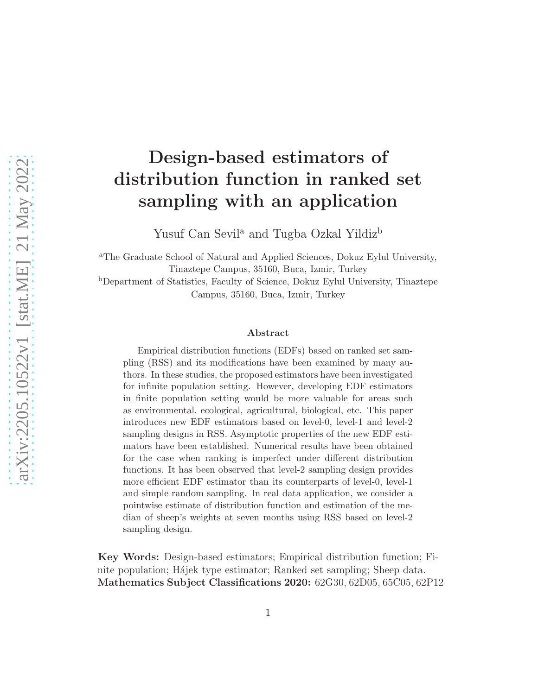# Design-based estimators of distribution function in ranked set sampling with an application

Yusuf Can Sevil<sup>a</sup> and Tugba Ozkal Yildiz<sup>b</sup>

<sup>a</sup>The Graduate School of Natural and Applied Sciences, Dokuz Eylul University, Tinaztepe Campus, 35160, Buca, Izmir, Turkey <sup>b</sup>Department of Statistics, Faculty of Science, Dokuz Eylul University, Tinaztepe

Campus, 35160, Buca, Izmir, Turkey

#### Abstract

Empirical distribution functions (EDFs) based on ranked set sampling (RSS) and its modifications have been examined by many authors. In these studies, the proposed estimators have been investigated for infinite population setting. However, developing EDF estimators in finite population setting would be more valuable for areas such as environmental, ecological, agricultural, biological, etc. This paper introduces new EDF estimators based on level-0, level-1 and level-2 sampling designs in RSS. Asymptotic properties of the new EDF estimators have been established. Numerical results have been obtained for the case when ranking is imperfect under different distribution functions. It has been observed that level-2 sampling design provides more efficient EDF estimator than its counterparts of level-0, level-1 and simple random sampling. In real data application, we consider a pointwise estimate of distribution function and estimation of the median of sheep's weights at seven months using RSS based on level-2 sampling design.

Key Words: Design-based estimators; Empirical distribution function; Finite population; Hájek type estimator; Ranked set sampling; Sheep data. Mathematics Subject Classifications 2020: 62G30, 62D05, 65C05, 62P12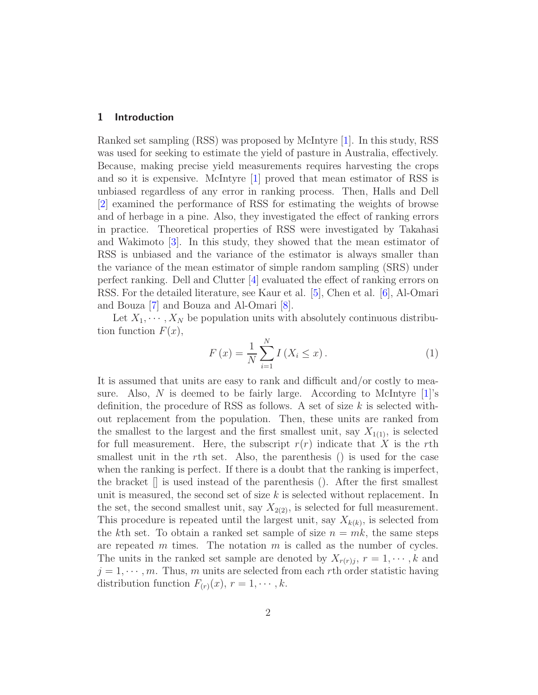### 1 Introduction

Ranked set sampling (RSS) was proposed by McIntyre [\[1\]](#page-32-0). In this study, RSS was used for seeking to estimate the yield of pasture in Australia, effectively. Because, making precise yield measurements requires harvesting the crops and so it is expensive. McIntyre [\[1\]](#page-32-0) proved that mean estimator of RSS is unbiased regardless of any error in ranking process. Then, Halls and Dell [\[2](#page-32-1)] examined the performance of RSS for estimating the weights of browse and of herbage in a pine. Also, they investigated the effect of ranking errors in practice. Theoretical properties of RSS were investigated by Takahasi and Wakimoto [\[3\]](#page-32-2). In this study, they showed that the mean estimator of RSS is unbiased and the variance of the estimator is always smaller than the variance of the mean estimator of simple random sampling (SRS) under perfect ranking. Dell and Clutter [\[4\]](#page-32-3) evaluated the effect of ranking errors on RSS. For the detailed literature, see Kaur et al. [\[5](#page-32-4)], Chen et al. [\[6](#page-32-5)], Al-Omari and Bouza [\[7](#page-32-6)] and Bouza and Al-Omari [\[8](#page-32-7)].

Let  $X_1, \dots, X_N$  be population units with absolutely continuous distribution function  $F(x)$ ,

$$
F(x) = \frac{1}{N} \sum_{i=1}^{N} I(X_i \le x).
$$
 (1)

It is assumed that units are easy to rank and difficult and/or costly to measure. Also, N is deemed to be fairly large. According to McIntyre  $[1]$ 's definition, the procedure of RSS as follows. A set of size  $k$  is selected without replacement from the population. Then, these units are ranked from the smallest to the largest and the first smallest unit, say  $X_{1(1)}$ , is selected for full measurement. Here, the subscript  $r(r)$  indicate that X is the rth smallest unit in the rth set. Also, the parenthesis () is used for the case when the ranking is perfect. If there is a doubt that the ranking is imperfect, the bracket  $\parallel$  is used instead of the parenthesis (). After the first smallest unit is measured, the second set of size k is selected without replacement. In the set, the second smallest unit, say  $X_{2(2)}$ , is selected for full measurement. This procedure is repeated until the largest unit, say  $X_{k(k)}$ , is selected from the kth set. To obtain a ranked set sample of size  $n = mk$ , the same steps are repeated m times. The notation  $m$  is called as the number of cycles. The units in the ranked set sample are denoted by  $X_{r(r),j}$ ,  $r=1,\dots,k$  and  $j = 1, \dots, m$ . Thus, m units are selected from each rth order statistic having distribution function  $F_{(r)}(x)$ ,  $r = 1, \dots, k$ .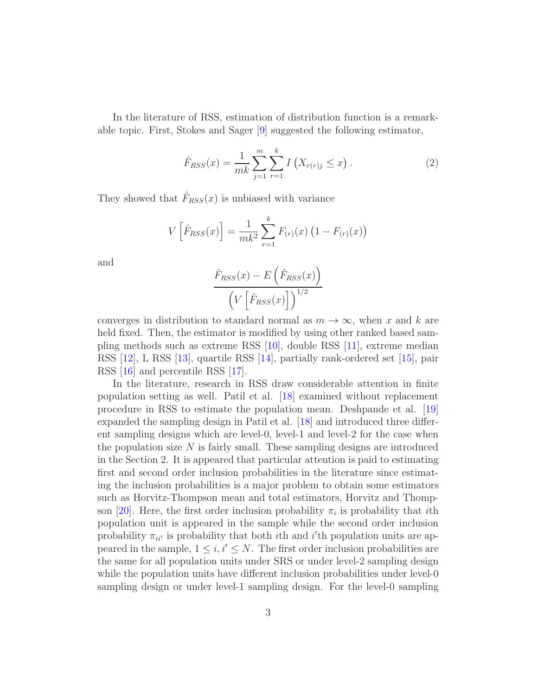In the literature of RSS, estimation of distribution function is a remarkable topic. First, Stokes and Sager [\[9](#page-32-8)] suggested the following estimator,

$$
\hat{F}_{RSS}(x) = \frac{1}{mk} \sum_{j=1}^{m} \sum_{r=1}^{k} I(X_{r(r)j} \le x).
$$
\n(2)

They showed that  $\hat{F}_{RSS}(x)$  is unbiased with variance

$$
V\left[\hat{F}_{RSS}(x)\right] = \frac{1}{mk^2} \sum_{r=1}^{k} F_{(r)}(x) \left(1 - F_{(r)}(x)\right)
$$

and

$$
\frac{\hat{F}_{RSS}(x) - E\left(\hat{F}_{RSS}(x)\right)}{\left(V\left[\hat{F}_{RSS}(x)\right]\right)^{1/2}}
$$

converges in distribution to standard normal as  $m \to \infty$ , when x and k are held fixed. Then, the estimator is modified by using other ranked based sampling methods such as extreme RSS [\[10](#page-32-9)], double RSS [\[11](#page-32-10)], extreme median RSS [\[12](#page-32-11)], L RSS [\[13\]](#page-32-12), quartile RSS [\[14](#page-32-13)], partially rank-ordered set [\[15\]](#page-32-14), pair RSS [\[16](#page-32-15)] and percentile RSS [\[17](#page-32-16)].

In the literature, research in RSS draw considerable attention in finite population setting as well. Patil et al. [\[18\]](#page-32-17) examined without replacement procedure in RSS to estimate the population mean. Deshpande et al. [\[19](#page-32-18)] expanded the sampling design in Patil et al. [\[18\]](#page-32-17) and introduced three different sampling designs which are level-0, level-1 and level-2 for the case when the population size  $N$  is fairly small. These sampling designs are introduced in the Section 2. It is appeared that particular attention is paid to estimating first and second order inclusion probabilities in the literature since estimating the inclusion probabilities is a major problem to obtain some estimators such as Horvitz-Thompson mean and total estimators, Horvitz and Thomp-son [\[20\]](#page-33-0). Here, the first order inclusion probability  $\pi_i$  is probability that *i*th population unit is appeared in the sample while the second order inclusion probability  $\pi_{ii'}$  is probability that both *i*th and *i*'th population units are appeared in the sample,  $1 \leq i, i' \leq N$ . The first order inclusion probabilities are the same for all population units under SRS or under level-2 sampling design while the population units have different inclusion probabilities under level-0 sampling design or under level-1 sampling design. For the level-0 sampling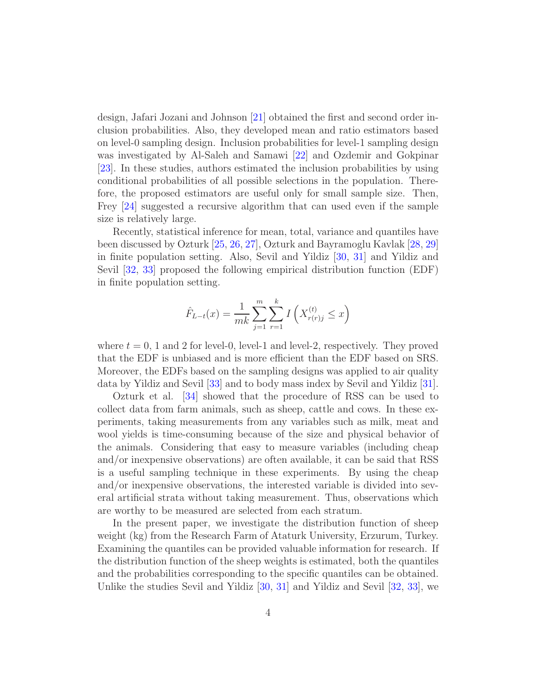design, Jafari Jozani and Johnson [\[21\]](#page-33-1) obtained the first and second order inclusion probabilities. Also, they developed mean and ratio estimators based on level-0 sampling design. Inclusion probabilities for level-1 sampling design was investigated by Al-Saleh and Samawi [\[22\]](#page-33-2) and Ozdemir and Gokpinar [\[23\]](#page-33-3). In these studies, authors estimated the inclusion probabilities by using conditional probabilities of all possible selections in the population. Therefore, the proposed estimators are useful only for small sample size. Then, Frey [\[24](#page-33-4)] suggested a recursive algorithm that can used even if the sample size is relatively large.

Recently, statistical inference for mean, total, variance and quantiles have been discussed by Ozturk [\[25,](#page-33-5) [26](#page-33-6), [27\]](#page-33-7), Ozturk and Bayramoglu Kavlak [\[28,](#page-33-8) [29](#page-33-9)] in finite population setting. Also, Sevil and Yildiz [\[30](#page-33-10), [31](#page-33-11)] and Yildiz and Sevil [\[32,](#page-33-12) [33](#page-33-13)] proposed the following empirical distribution function (EDF) in finite population setting.

$$
\hat{F}_{L-t}(x) = \frac{1}{mk} \sum_{j=1}^{m} \sum_{r=1}^{k} I\left(X_{r(r)j}^{(t)} \le x\right)
$$

where  $t = 0$ , 1 and 2 for level-0, level-1 and level-2, respectively. They proved that the EDF is unbiased and is more efficient than the EDF based on SRS. Moreover, the EDFs based on the sampling designs was applied to air quality data by Yildiz and Sevil [\[33](#page-33-13)] and to body mass index by Sevil and Yildiz [\[31\]](#page-33-11).

Ozturk et al. [\[34\]](#page-33-14) showed that the procedure of RSS can be used to collect data from farm animals, such as sheep, cattle and cows. In these experiments, taking measurements from any variables such as milk, meat and wool yields is time-consuming because of the size and physical behavior of the animals. Considering that easy to measure variables (including cheap and/or inexpensive observations) are often available, it can be said that RSS is a useful sampling technique in these experiments. By using the cheap and/or inexpensive observations, the interested variable is divided into several artificial strata without taking measurement. Thus, observations which are worthy to be measured are selected from each stratum.

In the present paper, we investigate the distribution function of sheep weight (kg) from the Research Farm of Ataturk University, Erzurum, Turkey. Examining the quantiles can be provided valuable information for research. If the distribution function of the sheep weights is estimated, both the quantiles and the probabilities corresponding to the specific quantiles can be obtained. Unlike the studies Sevil and Yildiz [\[30](#page-33-10), [31](#page-33-11)] and Yildiz and Sevil [\[32,](#page-33-12) [33\]](#page-33-13), we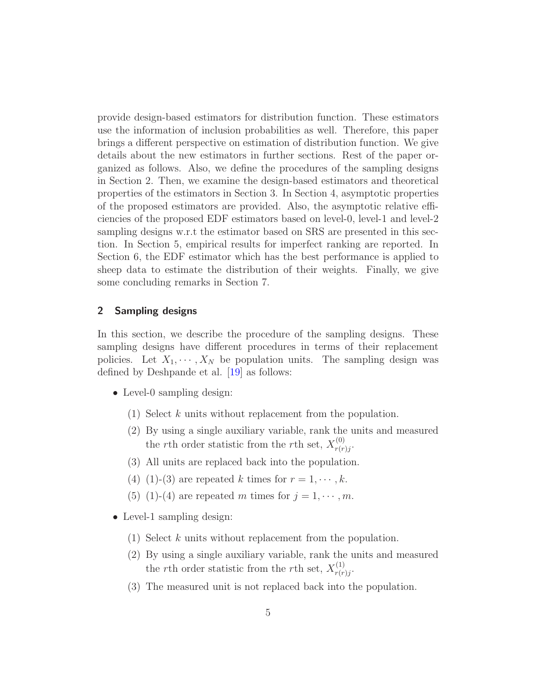provide design-based estimators for distribution function. These estimators use the information of inclusion probabilities as well. Therefore, this paper brings a different perspective on estimation of distribution function. We give details about the new estimators in further sections. Rest of the paper organized as follows. Also, we define the procedures of the sampling designs in Section 2. Then, we examine the design-based estimators and theoretical properties of the estimators in Section 3. In Section 4, asymptotic properties of the proposed estimators are provided. Also, the asymptotic relative efficiencies of the proposed EDF estimators based on level-0, level-1 and level-2 sampling designs w.r.t the estimator based on SRS are presented in this section. In Section 5, empirical results for imperfect ranking are reported. In Section 6, the EDF estimator which has the best performance is applied to sheep data to estimate the distribution of their weights. Finally, we give some concluding remarks in Section 7.

### 2 Sampling designs

In this section, we describe the procedure of the sampling designs. These sampling designs have different procedures in terms of their replacement policies. Let  $X_1, \dots, X_N$  be population units. The sampling design was defined by Deshpande et al. [\[19](#page-32-18)] as follows:

- Level-0 sampling design:
	- (1) Select k units without replacement from the population.
	- (2) By using a single auxiliary variable, rank the units and measured the rth order statistic from the rth set,  $X_{r(r)}^{(0)}$  $r(r)j$ .
	- (3) All units are replaced back into the population.
	- (4) (1)-(3) are repeated k times for  $r = 1, \dots, k$ .
	- (5) (1)-(4) are repeated m times for  $j = 1, \dots, m$ .
- Level-1 sampling design:
	- (1) Select k units without replacement from the population.
	- (2) By using a single auxiliary variable, rank the units and measured the rth order statistic from the rth set,  $X_{r(r)}^{(1)}$  $\overset{(1)}{r(r)j}$ .
	- (3) The measured unit is not replaced back into the population.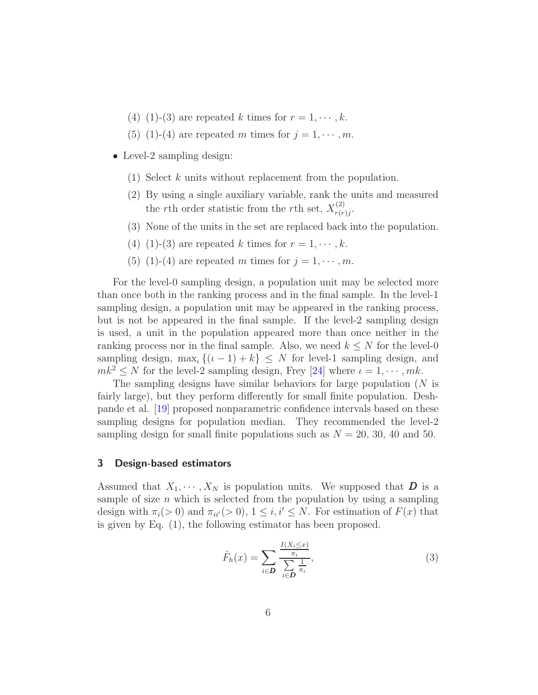- (4) (1)-(3) are repeated k times for  $r = 1, \dots, k$ .
- (5) (1)-(4) are repeated m times for  $j = 1, \dots, m$ .
- Level-2 sampling design:
	- (1) Select k units without replacement from the population.
	- (2) By using a single auxiliary variable, rank the units and measured the rth order statistic from the rth set,  $X_{r(r)}^{(2)}$  $\frac{f(z)}{r(r)j}.$
	- (3) None of the units in the set are replaced back into the population.
	- (4) (1)-(3) are repeated k times for  $r = 1, \dots, k$ .
	- (5) (1)-(4) are repeated m times for  $j = 1, \dots, m$ .

For the level-0 sampling design, a population unit may be selected more than once both in the ranking process and in the final sample. In the level-1 sampling design, a population unit may be appeared in the ranking process, but is not be appeared in the final sample. If the level-2 sampling design is used, a unit in the population appeared more than once neither in the ranking process nor in the final sample. Also, we need  $k \leq N$  for the level-0 sampling design, max<sub>i</sub>  $\{(i-1)+k\} \leq N$  for level-1 sampling design, and  $mk^2 \leq N$  for the level-2 sampling design, Frey [\[24](#page-33-4)] where  $\iota = 1, \dots, mk$ .

The sampling designs have similar behaviors for large population  $(N$  is fairly large), but they perform differently for small finite population. Deshpande et al. [\[19](#page-32-18)] proposed nonparametric confidence intervals based on these sampling designs for population median. They recommended the level-2 sampling design for small finite populations such as  $N = 20, 30, 40$  and 50.

### 3 Design-based estimators

Assumed that  $X_1, \dots, X_N$  is population units. We supposed that **D** is a sample of size  $n$  which is selected from the population by using a sampling design with  $\pi_i(> 0)$  and  $\pi_{ii'}(> 0)$ ,  $1 \leq i, i' \leq N$ . For estimation of  $F(x)$  that is given by Eq. (1), the following estimator has been proposed.

$$
\hat{F}_h(x) = \sum_{i \in \mathbf{D}} \frac{\frac{I(X_i \le x)}{\pi_i}}{\sum_{i \in \mathbf{D}} \frac{1}{\pi_i}},\tag{3}
$$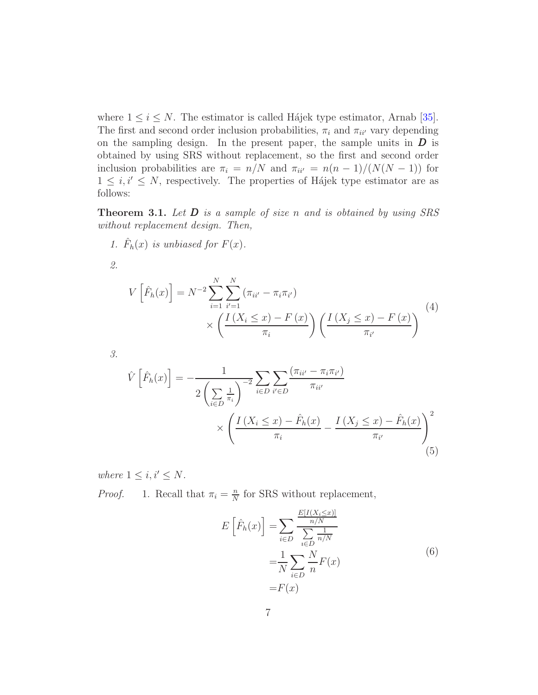where  $1 \leq i \leq N$ . The estimator is called Hájek type estimator, Arnab [\[35\]](#page-33-15). The first and second order inclusion probabilities,  $\pi_i$  and  $\pi_{ii'}$  vary depending on the sampling design. In the present paper, the sample units in  $D$  is obtained by using SRS without replacement, so the first and second order inclusion probabilities are  $\pi_i = n/N$  and  $\pi_{ii'} = n(n-1)/(N(N-1))$  for  $1 \leq i, i' \leq N$ , respectively. The properties of Hájek type estimator are as follows:

**Theorem 3.1.** Let  $D$  is a sample of size n and is obtained by using SRS without replacement design. Then,

1.  $\hat{F}_h(x)$  is unbiased for  $F(x)$ .

2.

$$
V\left[\hat{F}_h(x)\right] = N^{-2} \sum_{i=1}^{N} \sum_{i'=1}^{N} (\pi_{ii'} - \pi_i \pi_{i'})
$$
  
 
$$
\times \left(\frac{I\left(X_i \le x\right) - F\left(x\right)}{\pi_i}\right) \left(\frac{I\left(X_j \le x\right) - F\left(x\right)}{\pi_{i'}}\right)
$$
 (4)

3.

$$
\hat{V}\left[\hat{F}_h(x)\right] = -\frac{1}{2\left(\sum_{i \in D} \frac{1}{\pi_i}\right)^{-2}} \sum_{i \in D} \sum_{i' \in D} \frac{(\pi_{ii'} - \pi_i \pi_{i'})}{\pi_{ii'}}
$$
\n
$$
\times \left(\frac{I\left(X_i \le x\right) - \hat{F}_h(x)}{\pi_i} - \frac{I\left(X_j \le x\right) - \hat{F}_h(x)}{\pi_{i'}}\right)^2
$$
\n(5)

where  $1 \leq i, i' \leq N$ . *Proof.* 1. Recall that  $\pi_i = \frac{n}{N}$  $\frac{n}{N}$  for SRS without replacement,

$$
E\left[\hat{F}_h(x)\right] = \sum_{i \in D} \frac{\frac{E[I(X_i \le x)]}{n/N}}{\sum_{i \in D} \frac{1}{n/N}}
$$

$$
= \frac{1}{N} \sum_{i \in D} \frac{N}{n} F(x)
$$

$$
= F(x)
$$
(6)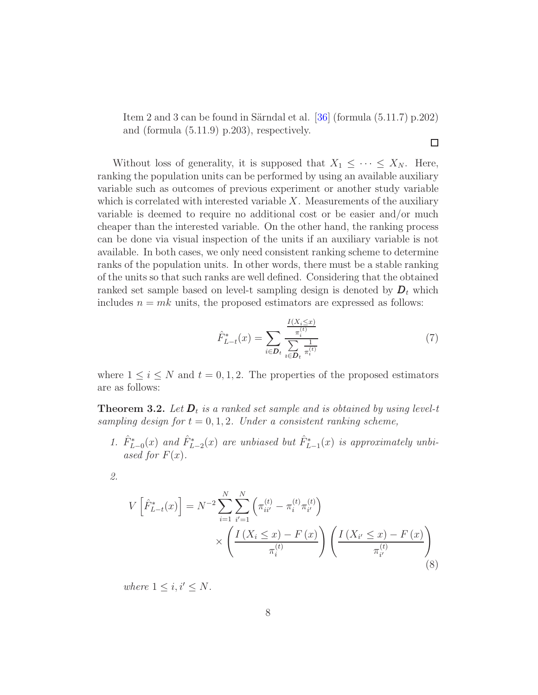Item 2 and 3 can be found in Särndal et al.  $[36]$  (formula  $(5.11.7)$  p.202) and (formula (5.11.9) p.203), respectively.

Without loss of generality, it is supposed that  $X_1 \leq \cdots \leq X_N$ . Here, ranking the population units can be performed by using an available auxiliary variable such as outcomes of previous experiment or another study variable which is correlated with interested variable  $X$ . Measurements of the auxiliary variable is deemed to require no additional cost or be easier and/or much cheaper than the interested variable. On the other hand, the ranking process can be done via visual inspection of the units if an auxiliary variable is not available. In both cases, we only need consistent ranking scheme to determine ranks of the population units. In other words, there must be a stable ranking of the units so that such ranks are well defined. Considering that the obtained ranked set sample based on level-t sampling design is denoted by  $D_t$  which includes  $n = mk$  units, the proposed estimators are expressed as follows:

$$
\hat{F}_{L-t}^*(x) = \sum_{i \in \mathcal{D}_t} \frac{\frac{I(X_i \le x)}{\pi_i^{(t)}}}{\sum_{i \in \mathcal{D}_t} \frac{1}{\pi_i^{(t)}}}
$$
(7)

 $\Box$ 

where  $1 \leq i \leq N$  and  $t = 0, 1, 2$ . The properties of the proposed estimators are as follows:

**Theorem 3.2.** Let  $D_t$  is a ranked set sample and is obtained by using level-t sampling design for  $t = 0, 1, 2$ . Under a consistent ranking scheme,

1.  $\hat{F}_{L-0}^*(x)$  and  $\hat{F}_{L-2}^*(x)$  are unbiased but  $\hat{F}_{L-1}^*(x)$  is approximately unbiased for  $F(x)$ .

2.

$$
V\left[\hat{F}_{L-t}^*(x)\right] = N^{-2} \sum_{i=1}^N \sum_{i'=1}^N \left(\pi_{ii'}^{(t)} - \pi_i^{(t)} \pi_{i'}^{(t)}\right) \times \left(\frac{I\left(X_i \le x\right) - F\left(x\right)}{\pi_i^{(t)}}\right) \left(\frac{I\left(X_{i'} \le x\right) - F\left(x\right)}{\pi_{i'}^{(t)}}\right) \tag{8}
$$

where  $1 \leq i, i' \leq N$ .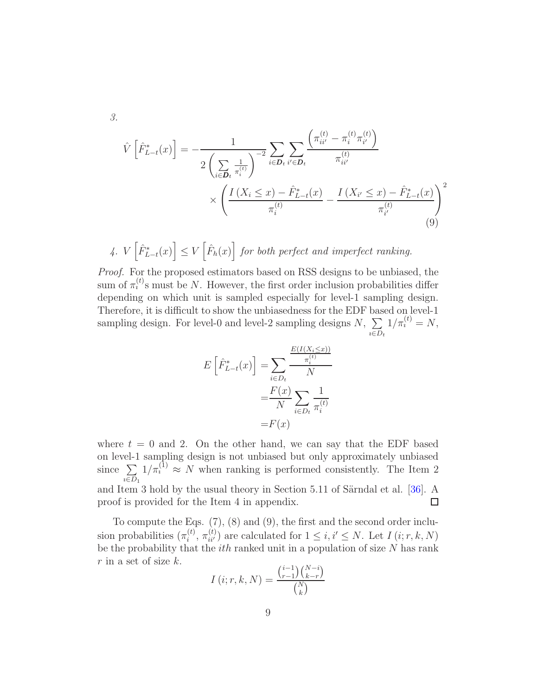3.

$$
\hat{V}\left[\hat{F}_{L-t}^*(x)\right] = -\frac{1}{2\left(\sum\limits_{i\in\mathcal{D}_t} \frac{1}{\pi_i^{(t)}}\right)^{-2}} \sum_{i\in\mathcal{D}_t} \sum_{i'\in\mathcal{D}_t} \frac{\left(\pi_{ii'}^{(t)} - \pi_i^{(t)}\pi_{i'}^{(t)}\right)}{\pi_{ii'}^{(t)}}
$$
\n
$$
\times \left(\frac{I\left(X_i \le x\right) - \hat{F}_{L-t}^*(x)}{\pi_i^{(t)}} - \frac{I\left(X_{i'} \le x\right) - \hat{F}_{L-t}^*(x)}{\pi_{i'}^{(t)}}\right)^2
$$
\n(9)

4.  $V\left[\hat{F}_{L-t}^*(x)\right] \leq V\left[\hat{F}_h(x)\right]$  for both perfect and imperfect ranking.

Proof. For the proposed estimators based on RSS designs to be unbiased, the sum of  $\pi_i^{(t)}$ s must be N. However, the first order inclusion probabilities differ depending on which unit is sampled especially for level-1 sampling design. Therefore, it is difficult to show the unbiasedness for the EDF based on level-1 sampling design. For level-0 and level-2 sampling designs  $N, \sum$  $i \in D_t$  $1/\pi_i^{(t)} = N,$ 

$$
E\left[\hat{F}_{L-t}^*(x)\right] = \sum_{i \in D_t} \frac{\frac{E(I(X_i \le x))}{\pi_i^{(t)}}}{N}
$$

$$
= \frac{F(x)}{N} \sum_{i \in D_t} \frac{1}{\pi_i^{(t)}}
$$

$$
= F(x)
$$

where  $t = 0$  and 2. On the other hand, we can say that the EDF based on level-1 sampling design is not unbiased but only approximately unbiased  $1/\pi^{(1)}$   $\approx N$  when ranking is performed consistently. The Item 2 since  $\sum$  $i \in D_1$ and Item 3 hold by the usual theory in Section  $5.11$  of Särndal et al. [\[36](#page-33-16)]. A proof is provided for the Item 4 in appendix.  $\Box$ 

To compute the Eqs. (7), (8) and (9), the first and the second order inclusion probabilities  $(\pi_i^{(t)})$  $\tilde{u}_i^{(t)}, \pi_{ii'}^{(t)}$  are calculated for  $1 \leq i, i' \leq N$ . Let  $I(i; r, k, N)$ be the probability that the  $ith$  ranked unit in a population of size  $N$  has rank  $r$  in a set of size  $k$ .

$$
I(i; r, k, N) = \frac{\binom{i-1}{r-1} \binom{N-i}{k-r}}{\binom{N}{k}}
$$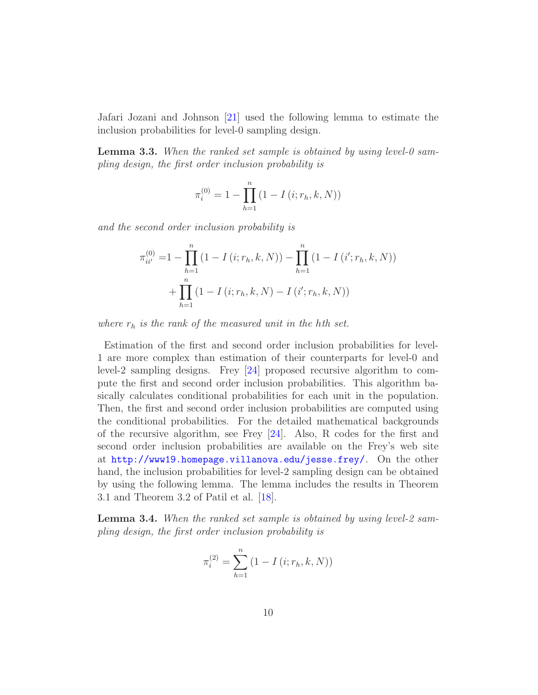Jafari Jozani and Johnson [\[21](#page-33-1)] used the following lemma to estimate the inclusion probabilities for level-0 sampling design.

**Lemma 3.3.** When the ranked set sample is obtained by using level-0 sampling design, the first order inclusion probability is

$$
\pi_i^{(0)} = 1 - \prod_{h=1}^n (1 - I(i; r_h, k, N))
$$

and the second order inclusion probability is

$$
\pi_{ii'}^{(0)} = 1 - \prod_{h=1}^{n} (1 - I(i; r_h, k, N)) - \prod_{h=1}^{n} (1 - I(i'; r_h, k, N)) + \prod_{h=1}^{n} (1 - I(i; r_h, k, N) - I(i'; r_h, k, N))
$$

where  $r_h$  is the rank of the measured unit in the hth set.

Estimation of the first and second order inclusion probabilities for level-1 are more complex than estimation of their counterparts for level-0 and level-2 sampling designs. Frey [\[24](#page-33-4)] proposed recursive algorithm to compute the first and second order inclusion probabilities. This algorithm basically calculates conditional probabilities for each unit in the population. Then, the first and second order inclusion probabilities are computed using the conditional probabilities. For the detailed mathematical backgrounds of the recursive algorithm, see Frey [\[24](#page-33-4)]. Also, R codes for the first and second order inclusion probabilities are available on the Frey's web site at <http://www19.homepage.villanova.edu/jesse.frey/>. On the other hand, the inclusion probabilities for level-2 sampling design can be obtained by using the following lemma. The lemma includes the results in Theorem 3.1 and Theorem 3.2 of Patil et al. [\[18\]](#page-32-17).

Lemma 3.4. When the ranked set sample is obtained by using level-2 sampling design, the first order inclusion probability is

$$
\pi_i^{(2)} = \sum_{h=1}^n (1 - I(i; r_h, k, N))
$$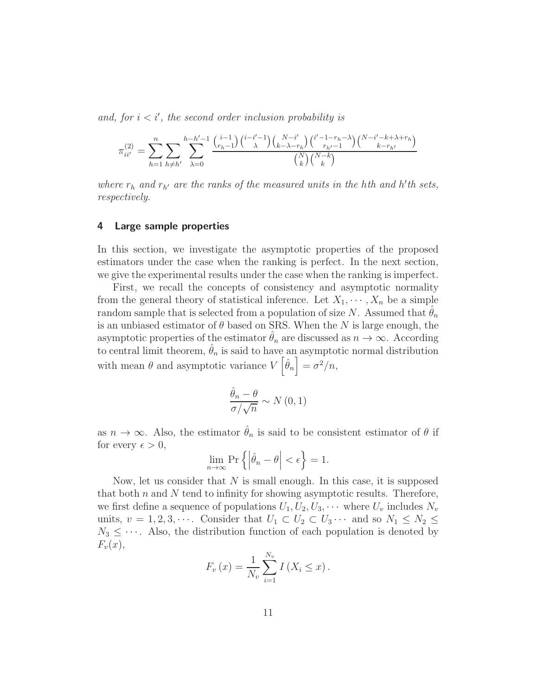and, for  $i < i'$ , the second order inclusion probability is

$$
\pi_{ii'}^{(2)} = \sum_{h=1}^{n} \sum_{h \neq h'} \sum_{\lambda=0}^{h-h'-1} \frac{\binom{i-1}{r_h-1} \binom{i-i'-1}{\lambda} \binom{N-i'}{k-\lambda-r_h} \binom{i'-1-r_h-\lambda}{r_{h'}-1} \binom{N-i'-k+\lambda+r_h}{k-r_{h'}-1}}{\binom{N}{k} \binom{N-k}{k}}
$$

where  $r_h$  and  $r_{h'}$  are the ranks of the measured units in the hth and h'th sets, respectively.

### 4 Large sample properties

In this section, we investigate the asymptotic properties of the proposed estimators under the case when the ranking is perfect. In the next section, we give the experimental results under the case when the ranking is imperfect.

First, we recall the concepts of consistency and asymptotic normality from the general theory of statistical inference. Let  $X_1, \dots, X_n$  be a simple random sample that is selected from a population of size N. Assumed that  $\theta_n$ is an unbiased estimator of  $\theta$  based on SRS. When the N is large enough, the asymptotic properties of the estimator  $\theta_n$  are discussed as  $n \to \infty$ . According to central limit theorem,  $\hat{\theta}_n$  is said to have an asymptotic normal distribution with mean  $\theta$  and asymptotic variance  $V\left[\hat{\theta}_n\right] = \sigma^2/n$ ,

$$
\frac{\hat{\theta}_n - \theta}{\sigma / \sqrt{n}} \sim N(0, 1)
$$

as  $n \to \infty$ . Also, the estimator  $\hat{\theta}_n$  is said to be consistent estimator of  $\theta$  if for every  $\epsilon > 0$ ,

$$
\lim_{n \to \infty} \Pr\left\{ \left| \hat{\theta}_n - \theta \right| < \epsilon \right\} = 1.
$$

Now, let us consider that  $N$  is small enough. In this case, it is supposed that both  $n$  and  $N$  tend to infinity for showing asymptotic results. Therefore, we first define a sequence of populations  $U_1, U_2, U_3, \cdots$  where  $U_v$  includes  $N_v$ units,  $v = 1, 2, 3, \cdots$ . Consider that  $U_1 \subset U_2 \subset U_3 \cdots$  and so  $N_1 \leq N_2 \leq$  $N_3 \leq \cdots$ . Also, the distribution function of each population is denoted by  $F_v(x)$ ,

$$
F_v(x) = \frac{1}{N_v} \sum_{i=1}^{N_v} I(X_i \le x).
$$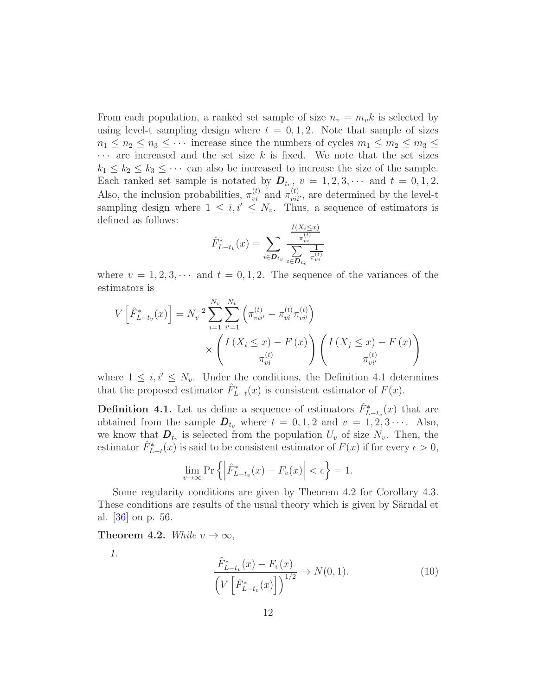From each population, a ranked set sample of size  $n_v = m_v k$  is selected by using level-t sampling design where  $t = 0, 1, 2$ . Note that sample of sizes  $n_1 \leq n_2 \leq n_3 \leq \cdots$  increase since the numbers of cycles  $m_1 \leq m_2 \leq m_3 \leq$  $\cdots$  are increased and the set size k is fixed. We note that the set sizes  $k_1 \leq k_2 \leq k_3 \leq \cdots$  can also be increased to increase the size of the sample. Each ranked set sample is notated by  $\mathbf{D}_{t_v}$ ,  $v = 1, 2, 3, \cdots$  and  $t = 0, 1, 2$ . Also, the inclusion probabilities,  $\pi_{vi}^{(t)}$  and  $\pi_{vii'}^{(t)}$ , are determined by the level-t sampling design where  $1 \leq i, i' \leq N_v$ . Thus, a sequence of estimators is defined as follows:

$$
\hat{F}_{L-t_v}^*(x) = \sum_{i \in \mathbf{D}_{t_v}} \frac{\frac{I(X_i \leq x)}{\pi_{vi}^{(t)}}}{\sum_{i \in \mathbf{D}_{t_v}} \frac{1}{\pi_{vi}^{(t)}}}
$$

where  $v = 1, 2, 3, \cdots$  and  $t = 0, 1, 2$ . The sequence of the variances of the estimators is

$$
V\left[\hat{F}_{L-t_v}^*(x)\right] = N_v^{-2} \sum_{i=1}^{N_v} \sum_{i'=1}^{N_v} \left(\pi_{vii'}^{(t)} - \pi_{vi}^{(t)} \pi_{vi'}^{(t)}\right)
$$

$$
\times \left(\frac{I\left(X_i \le x\right) - F\left(x\right)}{\pi_{vi}^{(t)}}\right) \left(\frac{I\left(X_j \le x\right) - F\left(x\right)}{\pi_{vi'}^{(t)}}\right)
$$

where  $1 \leq i, i' \leq N_v$ . Under the conditions, the Definition 4.1 determines that the proposed estimator  $\hat{F}_{L-t}^*(x)$  is consistent estimator of  $F(x)$ .

**Definition 4.1.** Let us define a sequence of estimators  $\hat{F}_{L-t_v}^*(x)$  that are obtained from the sample  $D_{t_v}$  where  $t = 0, 1, 2$  and  $v = 1, 2, 3 \cdots$ . Also, we know that  $\mathbf{D}_{t_v}$  is selected from the population  $U_v$  of size  $N_v$ . Then, the estimator  $\hat{F}_{L-t}^*(x)$  is said to be consistent estimator of  $F(x)$  if for every  $\epsilon > 0$ ,

$$
\lim_{v \to \infty} \Pr \left\{ \left| \hat{F}_{L-t_v}^*(x) - F_v(x) \right| < \epsilon \right\} = 1.
$$

Some regularity conditions are given by Theorem 4.2 for Corollary 4.3. These conditions are results of the usual theory which is given by Särndal et al. [\[36](#page-33-16)] on p. 56.

Theorem 4.2. While  $v \to \infty$ ,

1.

$$
\frac{\hat{F}_{L-t_v}^*(x) - F_v(x)}{\left(V\left[\hat{F}_{L-t_v}^*(x)\right]\right)^{1/2}} \to N(0, 1).
$$
\n(10)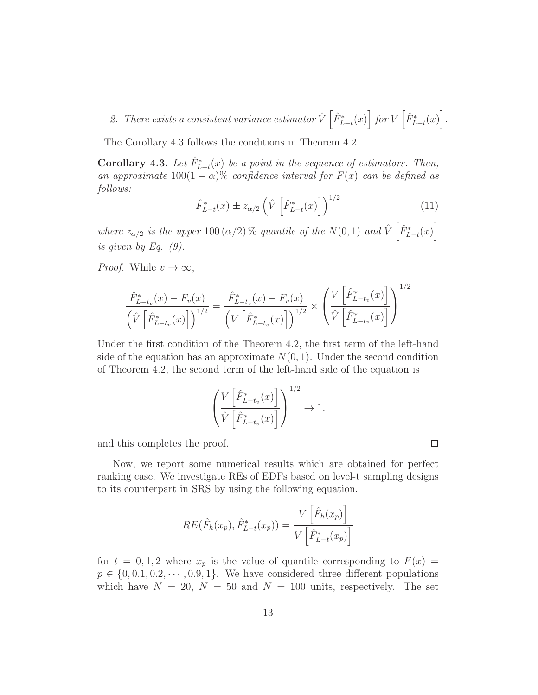# 2. There exists a consistent variance estimator  $\hat{V}\left[\hat{F}_{L-t}^*(x)\right]$  for  $V\left[\hat{F}_{L-t}^*(x)\right]$ .

The Corollary 4.3 follows the conditions in Theorem 4.2.

**Corollary 4.3.** Let  $\hat{F}_{L-t}^*(x)$  be a point in the sequence of estimators. Then, an approximate  $100(1 - \alpha)\%$  confidence interval for  $F(x)$  can be defined as follows:

$$
\hat{F}_{L-t}^*(x) \pm z_{\alpha/2} \left( \hat{V} \left[ \hat{F}_{L-t}^*(x) \right] \right)^{1/2} \tag{11}
$$

where  $z_{\alpha/2}$  is the upper 100 ( $\alpha/2$ ) % quantile of the  $N(0, 1)$  and  $\hat{V} \begin{bmatrix} \hat{F}_{L-t}^*(x) \end{bmatrix}$ is given by Eq.  $(9)$ .

*Proof.* While  $v \to \infty$ ,

$$
\frac{\hat{F}_{L-t_v}^*(x) - F_v(x)}{\left(\hat{V}\left[\hat{F}_{L-t_v}^*(x)\right]\right)^{1/2}} = \frac{\hat{F}_{L-t_v}^*(x) - F_v(x)}{\left(V\left[\hat{F}_{L-t_v}^*(x)\right]\right)^{1/2}} \times \left(\frac{V\left[\hat{F}_{L-t_v}^*(x)\right]}{\hat{V}\left[\hat{F}_{L-t_v}^*(x)\right]}\right)^{1/2}
$$

Under the first condition of the Theorem 4.2, the first term of the left-hand side of the equation has an approximate  $N(0, 1)$ . Under the second condition of Theorem 4.2, the second term of the left-hand side of the equation is

$$
\left(\frac{V\left[\hat{F}_{L-t_v}^*(x)\right]}{\hat{V}\left[\hat{F}_{L-t_v}^*(x)\right]}\right)^{1/2} \to 1.
$$

and this completes the proof.

Now, we report some numerical results which are obtained for perfect ranking case. We investigate REs of EDFs based on level-t sampling designs to its counterpart in SRS by using the following equation.

$$
RE(\hat{F}_h(x_p), \hat{F}_{L-t}^*(x_p)) = \frac{V\left[\hat{F}_h(x_p)\right]}{V\left[\hat{F}_{L-t}^*(x_p)\right]}
$$

for  $t = 0, 1, 2$  where  $x_p$  is the value of quantile corresponding to  $F(x) =$  $p \in \{0, 0.1, 0.2, \cdots, 0.9, 1\}$ . We have considered three different populations which have  $N = 20$ ,  $N = 50$  and  $N = 100$  units, respectively. The set

 $\Box$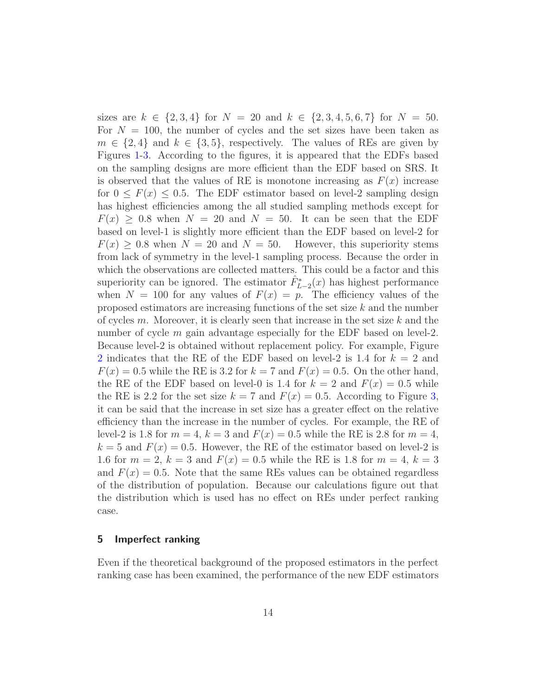sizes are  $k \in \{2, 3, 4\}$  for  $N = 20$  and  $k \in \{2, 3, 4, 5, 6, 7\}$  for  $N = 50$ . For  $N = 100$ , the number of cycles and the set sizes have been taken as  $m \in \{2, 4\}$  and  $k \in \{3, 5\}$ , respectively. The values of REs are given by Figures [1-](#page-14-0)[3.](#page-16-0) According to the figures, it is appeared that the EDFs based on the sampling designs are more efficient than the EDF based on SRS. It is observed that the values of RE is monotone increasing as  $F(x)$  increase for  $0 \leq F(x) \leq 0.5$ . The EDF estimator based on level-2 sampling design has highest efficiencies among the all studied sampling methods except for  $F(x) \geq 0.8$  when  $N = 20$  and  $N = 50$ . It can be seen that the EDF based on level-1 is slightly more efficient than the EDF based on level-2 for  $F(x) > 0.8$  when  $N = 20$  and  $N = 50$ . However, this superiority stems from lack of symmetry in the level-1 sampling process. Because the order in which the observations are collected matters. This could be a factor and this superiority can be ignored. The estimator  $\hat{F}_{L-2}^*(x)$  has highest performance when  $N = 100$  for any values of  $F(x) = p$ . The efficiency values of the proposed estimators are increasing functions of the set size k and the number of cycles  $m$ . Moreover, it is clearly seen that increase in the set size  $k$  and the number of cycle m gain advantage especially for the EDF based on level-2. Because level-2 is obtained without replacement policy. For example, Figure [2](#page-15-0) indicates that the RE of the EDF based on level-2 is 1.4 for  $k = 2$  and  $F(x) = 0.5$  while the RE is 3.2 for  $k = 7$  and  $F(x) = 0.5$ . On the other hand, the RE of the EDF based on level-0 is 1.4 for  $k = 2$  and  $F(x) = 0.5$  while the RE is 2.2 for the set size  $k = 7$  and  $F(x) = 0.5$ . According to Figure [3,](#page-16-0) it can be said that the increase in set size has a greater effect on the relative efficiency than the increase in the number of cycles. For example, the RE of level-2 is 1.8 for  $m = 4$ ,  $k = 3$  and  $F(x) = 0.5$  while the RE is 2.8 for  $m = 4$ ,  $k = 5$  and  $F(x) = 0.5$ . However, the RE of the estimator based on level-2 is 1.6 for  $m = 2, k = 3$  and  $F(x) = 0.5$  while the RE is 1.8 for  $m = 4, k = 3$ and  $F(x) = 0.5$ . Note that the same REs values can be obtained regardless of the distribution of population. Because our calculations figure out that the distribution which is used has no effect on REs under perfect ranking case.

### 5 Imperfect ranking

Even if the theoretical background of the proposed estimators in the perfect ranking case has been examined, the performance of the new EDF estimators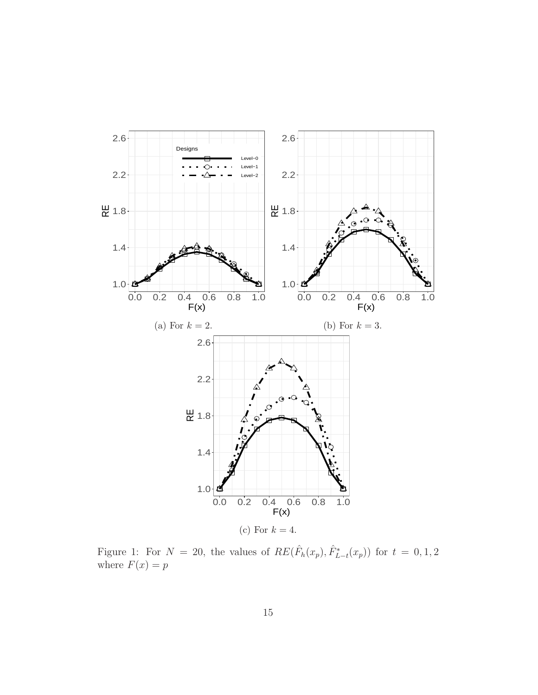<span id="page-14-0"></span>

Figure 1: For  $N = 20$ , the values of  $RE(\hat{F}_h(x_p), \hat{F}_{L-t}^*(x_p))$  for  $t = 0, 1, 2$ where  $F(x) = p$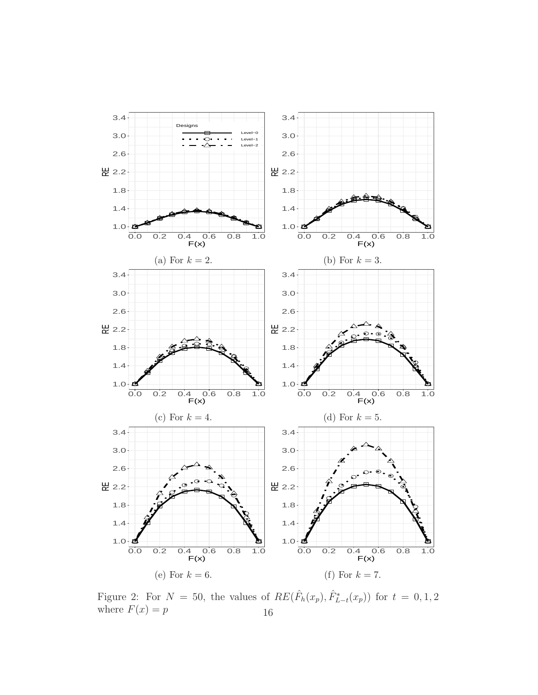<span id="page-15-0"></span>

Figure 2: For  $N = 50$ , the values of  $RE(\hat{F}_h(x_p), \hat{F}_{L-t}^*(x_p))$  for  $t = 0, 1, 2$ where  $F(x) = p$  16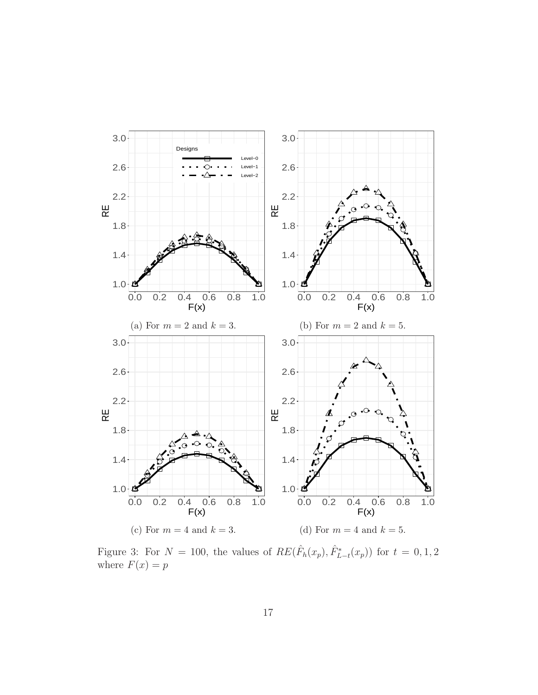<span id="page-16-0"></span>

Figure 3: For  $N = 100$ , the values of  $RE(\hat{F}_h(x_p), \hat{F}_{L-t}^*(x_p))$  for  $t = 0, 1, 2$ where  $F(x) = p$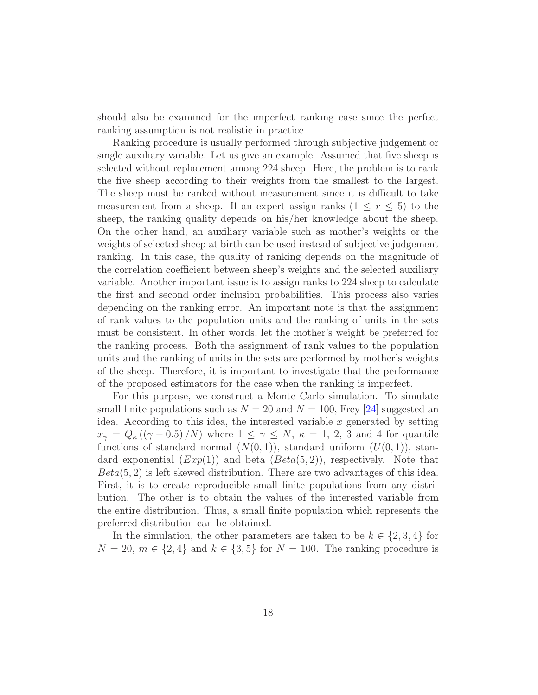should also be examined for the imperfect ranking case since the perfect ranking assumption is not realistic in practice.

Ranking procedure is usually performed through subjective judgement or single auxiliary variable. Let us give an example. Assumed that five sheep is selected without replacement among 224 sheep. Here, the problem is to rank the five sheep according to their weights from the smallest to the largest. The sheep must be ranked without measurement since it is difficult to take measurement from a sheep. If an expert assign ranks  $(1 \le r \le 5)$  to the sheep, the ranking quality depends on his/her knowledge about the sheep. On the other hand, an auxiliary variable such as mother's weights or the weights of selected sheep at birth can be used instead of subjective judgement ranking. In this case, the quality of ranking depends on the magnitude of the correlation coefficient between sheep's weights and the selected auxiliary variable. Another important issue is to assign ranks to 224 sheep to calculate the first and second order inclusion probabilities. This process also varies depending on the ranking error. An important note is that the assignment of rank values to the population units and the ranking of units in the sets must be consistent. In other words, let the mother's weight be preferred for the ranking process. Both the assignment of rank values to the population units and the ranking of units in the sets are performed by mother's weights of the sheep. Therefore, it is important to investigate that the performance of the proposed estimators for the case when the ranking is imperfect.

For this purpose, we construct a Monte Carlo simulation. To simulate small finite populations such as  $N = 20$  and  $N = 100$ , Frey [\[24](#page-33-4)] suggested an idea. According to this idea, the interested variable  $x$  generated by setting  $x_{\gamma} = Q_{\kappa}((\gamma - 0.5)/N)$  where  $1 \leq \gamma \leq N$ ,  $\kappa = 1, 2, 3$  and 4 for quantile functions of standard normal  $(N(0, 1))$ , standard uniform  $(U(0, 1))$ , standard exponential  $(Exp(1))$  and beta  $(Beta(5, 2))$ , respectively. Note that  $Beta(5, 2)$  is left skewed distribution. There are two advantages of this idea. First, it is to create reproducible small finite populations from any distribution. The other is to obtain the values of the interested variable from the entire distribution. Thus, a small finite population which represents the preferred distribution can be obtained.

In the simulation, the other parameters are taken to be  $k \in \{2, 3, 4\}$  for  $N = 20, m \in \{2, 4\}$  and  $k \in \{3, 5\}$  for  $N = 100$ . The ranking procedure is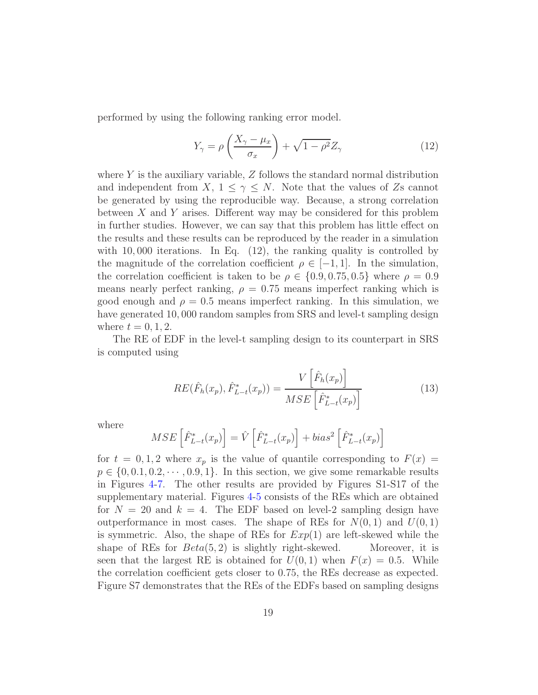performed by using the following ranking error model.

$$
Y_{\gamma} = \rho \left( \frac{X_{\gamma} - \mu_x}{\sigma_x} \right) + \sqrt{1 - \rho^2} Z_{\gamma}
$$
 (12)

where  $Y$  is the auxiliary variable,  $Z$  follows the standard normal distribution and independent from  $X, 1 \leq \gamma \leq N$ . Note that the values of Zs cannot be generated by using the reproducible way. Because, a strong correlation between X and Y arises. Different way may be considered for this problem in further studies. However, we can say that this problem has little effect on the results and these results can be reproduced by the reader in a simulation with 10,000 iterations. In Eq.  $(12)$ , the ranking quality is controlled by the magnitude of the correlation coefficient  $\rho \in [-1, 1]$ . In the simulation, the correlation coefficient is taken to be  $\rho \in \{0.9, 0.75, 0.5\}$  where  $\rho = 0.9$ means nearly perfect ranking,  $\rho = 0.75$  means imperfect ranking which is good enough and  $\rho = 0.5$  means imperfect ranking. In this simulation, we have generated 10,000 random samples from SRS and level-t sampling design where  $t = 0, 1, 2$ .

The RE of EDF in the level-t sampling design to its counterpart in SRS is computed using

$$
RE(\hat{F}_h(x_p), \hat{F}_{L-t}^*(x_p)) = \frac{V\left[\hat{F}_h(x_p)\right]}{MSE\left[\hat{F}_{L-t}^*(x_p)\right]}
$$
(13)

where

$$
MSE\left[\hat{F}_{L-t}^*(x_p)\right] = \hat{V}\left[\hat{F}_{L-t}^*(x_p)\right] + bias^2\left[\hat{F}_{L-t}^*(x_p)\right]
$$

for  $t = 0, 1, 2$  where  $x_p$  is the value of quantile corresponding to  $F(x) =$  $p \in \{0, 0.1, 0.2, \cdots, 0.9, 1\}$ . In this section, we give some remarkable results in Figures [4](#page-19-0)[-7.](#page-22-0) The other results are provided by Figures S1-S17 of the supplementary material. Figures [4-](#page-19-0)[5](#page-20-0) consists of the REs which are obtained for  $N = 20$  and  $k = 4$ . The EDF based on level-2 sampling design have outperformance in most cases. The shape of REs for  $N(0, 1)$  and  $U(0, 1)$ is symmetric. Also, the shape of REs for  $Exp(1)$  are left-skewed while the shape of REs for  $Beta(5, 2)$  is slightly right-skewed. Moreover, it is seen that the largest RE is obtained for  $U(0, 1)$  when  $F(x) = 0.5$ . While the correlation coefficient gets closer to 0.75, the REs decrease as expected. Figure S7 demonstrates that the REs of the EDFs based on sampling designs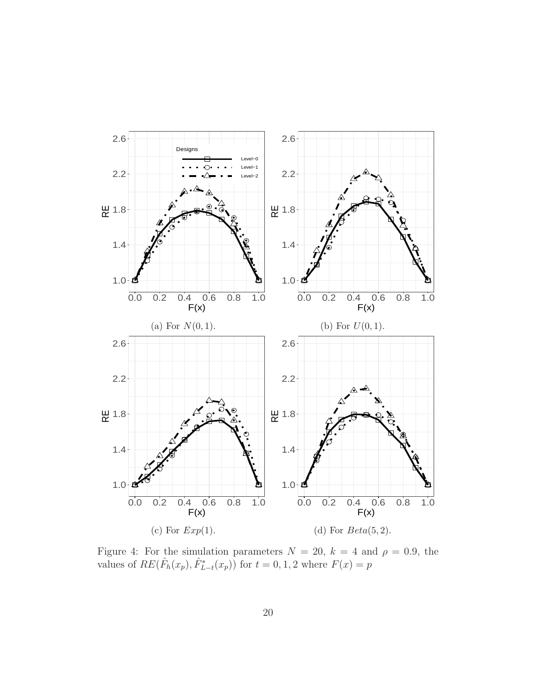<span id="page-19-0"></span>

Figure 4: For the simulation parameters  $N = 20$ ,  $k = 4$  and  $\rho = 0.9$ , the values of  $RE(\hat{F}_h(x_p), \hat{F}_{L-t}^*(x_p))$  for  $t = 0, 1, 2$  where  $F(x) = p$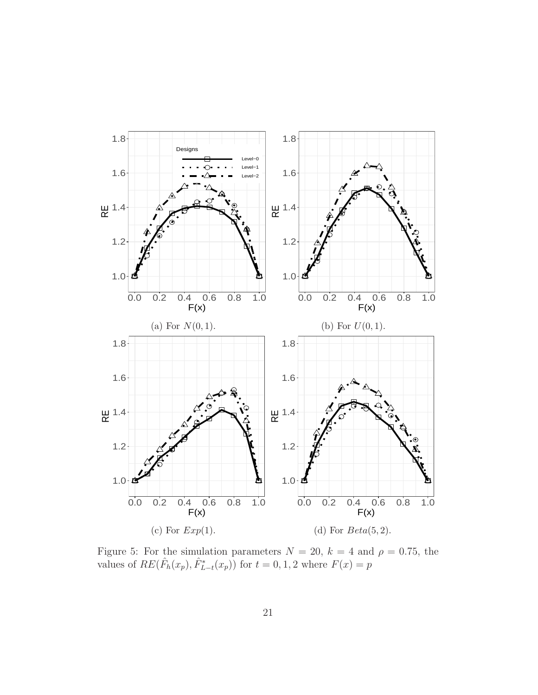<span id="page-20-0"></span>

Figure 5: For the simulation parameters  $N = 20$ ,  $k = 4$  and  $\rho = 0.75$ , the values of  $RE(\hat{F}_h(x_p), \hat{F}_{L-t}^*(x_p))$  for  $t = 0, 1, 2$  where  $F(x) = p$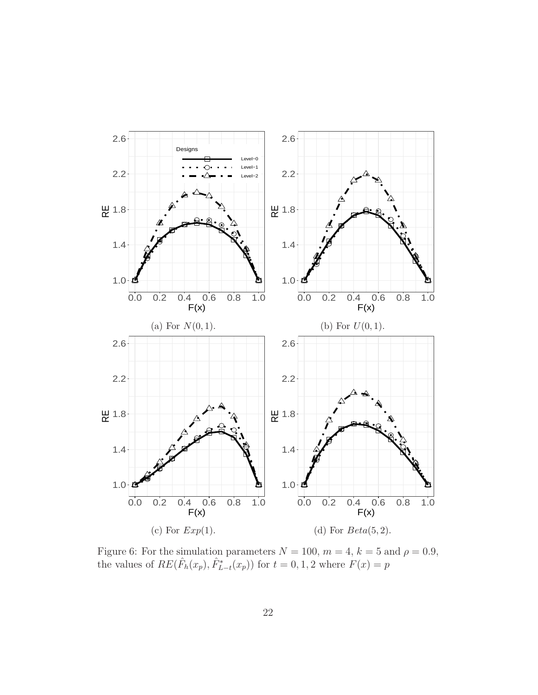<span id="page-21-0"></span>

Figure 6: For the simulation parameters  $N = 100$ ,  $m = 4$ ,  $k = 5$  and  $\rho = 0.9$ , the values of  $RE(\hat{F}_h(x_p), \hat{F}_{L-t}^*(x_p))$  for  $t = 0, 1, 2$  where  $F(x) = p$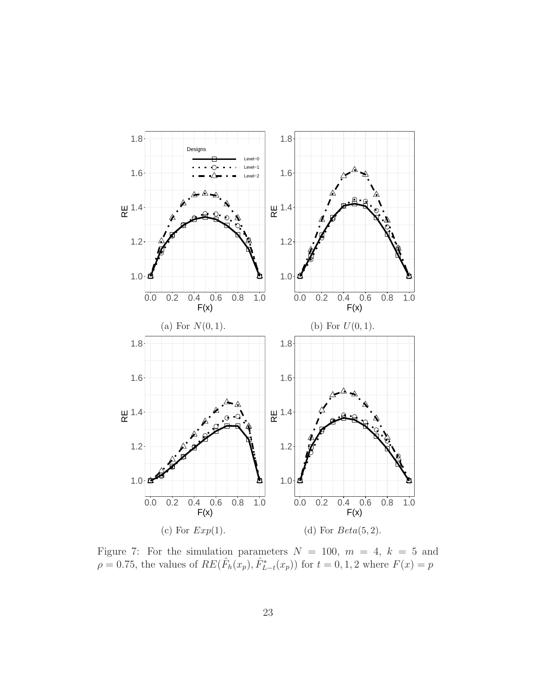<span id="page-22-0"></span>

Figure 7: For the simulation parameters  $N = 100$ ,  $m = 4$ ,  $k = 5$  and  $\rho = 0.75$ , the values of  $RE(\hat{F}_h(x_p), \hat{F}_{L-t}^*(x_p))$  for  $t = 0, 1, 2$  where  $F(x) = p$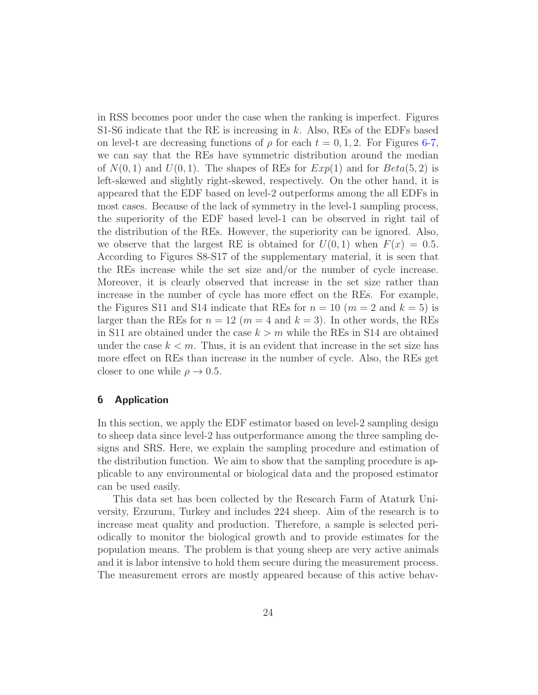in RSS becomes poor under the case when the ranking is imperfect. Figures S1-S6 indicate that the RE is increasing in k. Also, REs of the EDFs based on level-t are decreasing functions of  $\rho$  for each  $t = 0, 1, 2$ . For Figures [6](#page-21-0)[-7,](#page-22-0) we can say that the REs have symmetric distribution around the median of  $N(0, 1)$  and  $U(0, 1)$ . The shapes of REs for  $Exp(1)$  and for  $Beta(5, 2)$  is left-skewed and slightly right-skewed, respectively. On the other hand, it is appeared that the EDF based on level-2 outperforms among the all EDFs in most cases. Because of the lack of symmetry in the level-1 sampling process, the superiority of the EDF based level-1 can be observed in right tail of the distribution of the REs. However, the superiority can be ignored. Also, we observe that the largest RE is obtained for  $U(0, 1)$  when  $F(x) = 0.5$ . According to Figures S8-S17 of the supplementary material, it is seen that the REs increase while the set size and/or the number of cycle increase. Moreover, it is clearly observed that increase in the set size rather than increase in the number of cycle has more effect on the REs. For example, the Figures S11 and S14 indicate that REs for  $n = 10$  ( $m = 2$  and  $k = 5$ ) is larger than the REs for  $n = 12$  ( $m = 4$  and  $k = 3$ ). In other words, the REs in S11 are obtained under the case  $k > m$  while the REs in S14 are obtained under the case  $k < m$ . Thus, it is an evident that increase in the set size has more effect on REs than increase in the number of cycle. Also, the REs get closer to one while  $\rho \rightarrow 0.5$ .

## 6 Application

In this section, we apply the EDF estimator based on level-2 sampling design to sheep data since level-2 has outperformance among the three sampling designs and SRS. Here, we explain the sampling procedure and estimation of the distribution function. We aim to show that the sampling procedure is applicable to any environmental or biological data and the proposed estimator can be used easily.

This data set has been collected by the Research Farm of Ataturk University, Erzurum, Turkey and includes 224 sheep. Aim of the research is to increase meat quality and production. Therefore, a sample is selected periodically to monitor the biological growth and to provide estimates for the population means. The problem is that young sheep are very active animals and it is labor intensive to hold them secure during the measurement process. The measurement errors are mostly appeared because of this active behav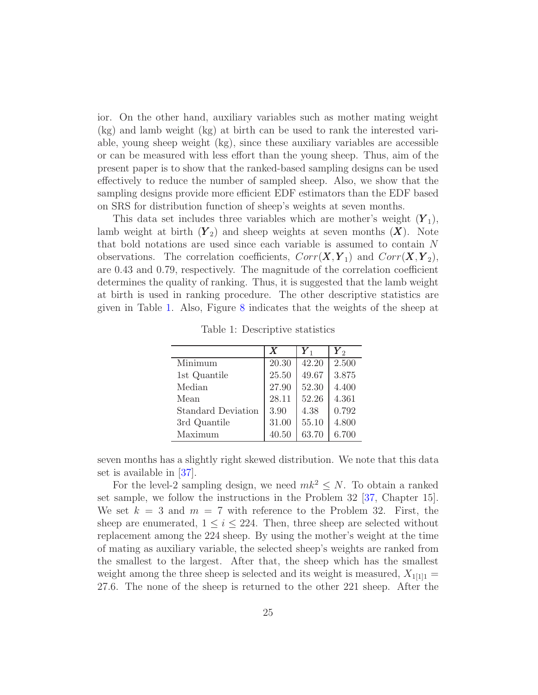ior. On the other hand, auxiliary variables such as mother mating weight (kg) and lamb weight (kg) at birth can be used to rank the interested variable, young sheep weight (kg), since these auxiliary variables are accessible or can be measured with less effort than the young sheep. Thus, aim of the present paper is to show that the ranked-based sampling designs can be used effectively to reduce the number of sampled sheep. Also, we show that the sampling designs provide more efficient EDF estimators than the EDF based on SRS for distribution function of sheep's weights at seven months.

This data set includes three variables which are mother's weight  $(Y_1)$ , lamb weight at birth  $(Y_2)$  and sheep weights at seven months  $(X)$ . Note that bold notations are used since each variable is assumed to contain N observations. The correlation coefficients,  $Corr(X, Y_1)$  and  $Corr(X, Y_2)$ , are 0.43 and 0.79, respectively. The magnitude of the correlation coefficient determines the quality of ranking. Thus, it is suggested that the lamb weight at birth is used in ranking procedure. The other descriptive statistics are given in Table [1.](#page-24-0) Also, Figure [8](#page-25-0) indicates that the weights of the sheep at

<span id="page-24-0"></span>

|                           | X     | $\boldsymbol{Y}_1$ | $\boldsymbol{Y}_2$ |
|---------------------------|-------|--------------------|--------------------|
| Minimum                   | 20.30 | 42.20              | 2.500              |
| 1st Quantile              | 25.50 | 49.67              | 3.875              |
| Median                    | 27.90 | 52.30              | 4.400              |
| Mean                      | 28.11 | 52.26              | 4.361              |
| <b>Standard Deviation</b> | 3.90  | 4.38               | 0.792              |
| 3rd Quantile              | 31.00 | 55.10              | 4.800              |
| Maximum                   | 40.50 | 63.70              | 6.700              |

Table 1: Descriptive statistics

seven months has a slightly right skewed distribution. We note that this data set is available in [\[37\]](#page-33-17).

For the level-2 sampling design, we need  $mk^2 \leq N$ . To obtain a ranked set sample, we follow the instructions in the Problem 32 [\[37,](#page-33-17) Chapter 15]. We set  $k = 3$  and  $m = 7$  with reference to the Problem 32. First, the sheep are enumerated,  $1 \leq i \leq 224$ . Then, three sheep are selected without replacement among the 224 sheep. By using the mother's weight at the time of mating as auxiliary variable, the selected sheep's weights are ranked from the smallest to the largest. After that, the sheep which has the smallest weight among the three sheep is selected and its weight is measured,  $X_{1[1]1} =$ 27.6. The none of the sheep is returned to the other 221 sheep. After the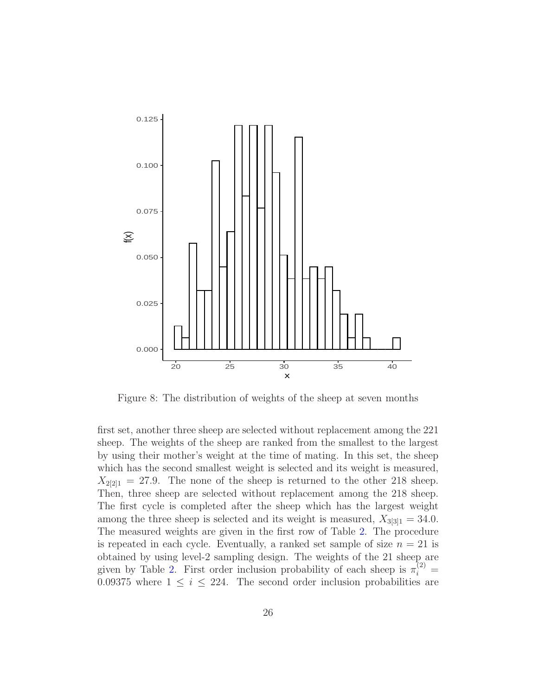<span id="page-25-0"></span>

Figure 8: The distribution of weights of the sheep at seven months

first set, another three sheep are selected without replacement among the 221 sheep. The weights of the sheep are ranked from the smallest to the largest by using their mother's weight at the time of mating. In this set, the sheep which has the second smallest weight is selected and its weight is measured,  $X_{2[2]1} = 27.9$ . The none of the sheep is returned to the other 218 sheep. Then, three sheep are selected without replacement among the 218 sheep. The first cycle is completed after the sheep which has the largest weight among the three sheep is selected and its weight is measured,  $X_{3[3]1} = 34.0$ . The measured weights are given in the first row of Table [2.](#page-26-0) The procedure is repeated in each cycle. Eventually, a ranked set sample of size  $n = 21$  is obtained by using level-2 sampling design. The weights of the 21 sheep are given by Table [2.](#page-26-0) First order inclusion probability of each sheep is  $\pi_i^{(2)}$  = 0.09375 where  $1 \leq i \leq 224$ . The second order inclusion probabilities are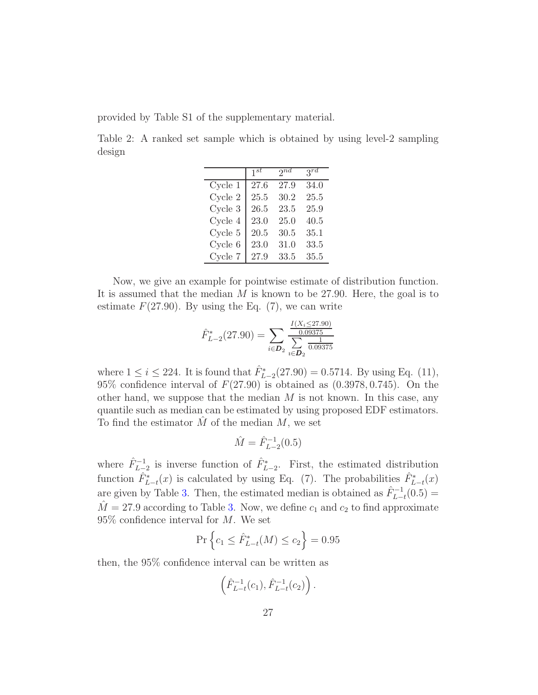<span id="page-26-0"></span>provided by Table S1 of the supplementary material.

Table 2: A ranked set sample which is obtained by using level-2 sampling design

|                    | $1^{st}$ | 2nd      | $3^{rd}$ |
|--------------------|----------|----------|----------|
| Cycle <sub>1</sub> | 27.6     | 27.9     | 34.0     |
| Cycle <sub>2</sub> | 25.5     | 30.2     | 25.5     |
| Cycle <sub>3</sub> | 26.5     | 23.5     | 25.9     |
| Cycle 4            | 23.0     | 25.0     | 40.5     |
| Cycle <sub>5</sub> | 20.5     | 30.5     | 35.1     |
| Cycle 6            | 23.0     | 31.0     | 33.5     |
| Cycle 7            | 27.9     | $33.5\,$ | 35.5     |

Now, we give an example for pointwise estimate of distribution function. It is assumed that the median  $M$  is known to be 27.90. Here, the goal is to estimate  $F(27.90)$ . By using the Eq. (7), we can write

$$
\hat{F}_{L-2}^*(27.90) = \sum_{i \in \mathcal{D}_2} \frac{\frac{I(X_i \le 27.90)}{0.09375}}{\sum_{i \in \mathcal{D}_2} \frac{1}{0.09375}}
$$

where  $1 \le i \le 224$ . It is found that  $\hat{F}_{L-2}^*(27.90) = 0.5714$ . By using Eq. (11), 95% confidence interval of  $F(27.90)$  is obtained as  $(0.3978, 0.745)$ . On the other hand, we suppose that the median  $M$  is not known. In this case, any quantile such as median can be estimated by using proposed EDF estimators. To find the estimator  $M$  of the median  $M$ , we set

$$
\hat{M} = \hat{F}_{L-2}^{-1}(0.5)
$$

where  $\hat{F}_{L-2}^{-1}$  is inverse function of  $\hat{F}_{L-2}^{*}$ . First, the estimated distribution function  $\hat{F}_{L-t}^*(x)$  is calculated by using Eq. (7). The probabilities  $\hat{F}_{L-t}^*(x)$ are given by Table [3.](#page-27-0) Then, the estimated median is obtained as  $\hat{F}_{L-t}^{-1}(0.5) =$  $\hat{M} = 27.9$  according to Table [3.](#page-27-0) Now, we define  $c_1$  and  $c_2$  to find approximate  $95\%$  confidence interval for M. We set

$$
\Pr\left\{c_1 \le \hat{F}_{L-t}^*(M) \le c_2\right\} = 0.95
$$

then, the 95% confidence interval can be written as

$$
(\hat{F}_{L-t}^{-1}(c_1), \hat{F}_{L-t}^{-1}(c_2)) .
$$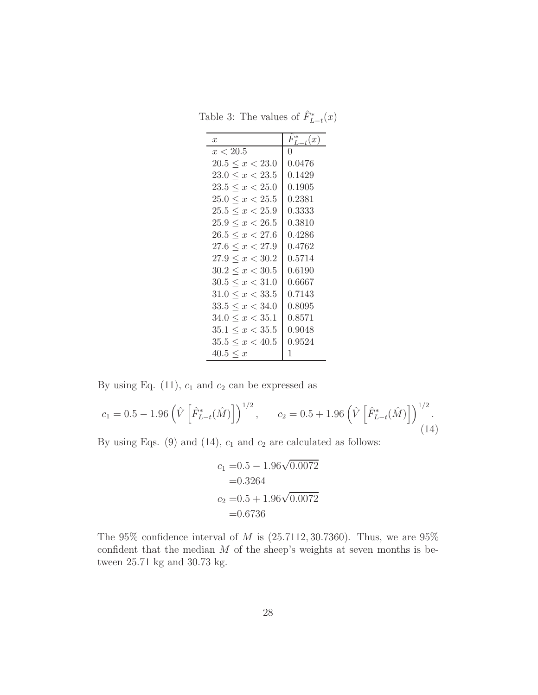<span id="page-27-0"></span>Table 3: The values of  $\hat{F}_{L-t}^*(x)$ 

| $\boldsymbol{x}$        | $T_{L-t}^*(x)$<br>F   |
|-------------------------|-----------------------|
| x < 20.5                |                       |
| $20.5 \leq x < 23.0$    | ${0.0476}% \noindent$ |
| $23.0 \leq x < 23.5$    | 0.1429                |
| $23.5 \leq x < 25.0$    | 0.1905                |
| $25.0 \leq x \leq 25.5$ | $\;\:0.2381$          |
| $25.5 \leq x < 25.9$    | 0.3333                |
| $25.9 \leq x < 26.5$    | 0.3810                |
| $26.5 \leq x < 27.6$    | 0.4286                |
| $27.6 \leq x < 27.9$    | 0.4762                |
| $27.9 \leq x < 30.2$    | 0.5714                |
| $30.2 \leq x \leq 30.5$ | 0.6190                |
| $30.5 \leq x < 31.0$    | 0.6667                |
| $31.0 \leq x < 33.5$    | ${0.7143}$            |
| $33.5 \leq x < 34.0$    | 0.8095                |
| $34.0 \leq x < 35.1$    | 0.8571                |
| $35.1 \leq x < 35.5$    | 0.9048                |
| $35.5 \leq x \leq 40.5$ | 0.9524                |
| $40.5 \leq x$           | 1                     |

By using Eq.  $(11)$ ,  $c_1$  and  $c_2$  can be expressed as

$$
c_1 = 0.5 - 1.96 \left( \hat{V} \left[ \hat{F}_{L-t}^*(\hat{M}) \right] \right)^{1/2}, \qquad c_2 = 0.5 + 1.96 \left( \hat{V} \left[ \hat{F}_{L-t}^*(\hat{M}) \right] \right)^{1/2}.
$$
\n(14)

By using Eqs. (9) and (14),  $c_1$  and  $c_2$  are calculated as follows:

$$
c_1 = 0.5 - 1.96\sqrt{0.0072}
$$
  
= 0.3264  

$$
c_2 = 0.5 + 1.96\sqrt{0.0072}
$$
  
= 0.6736

The  $95\%$  confidence interval of M is  $(25.7112, 30.7360)$ . Thus, we are  $95\%$ confident that the median  $M$  of the sheep's weights at seven months is between 25.71 kg and 30.73 kg.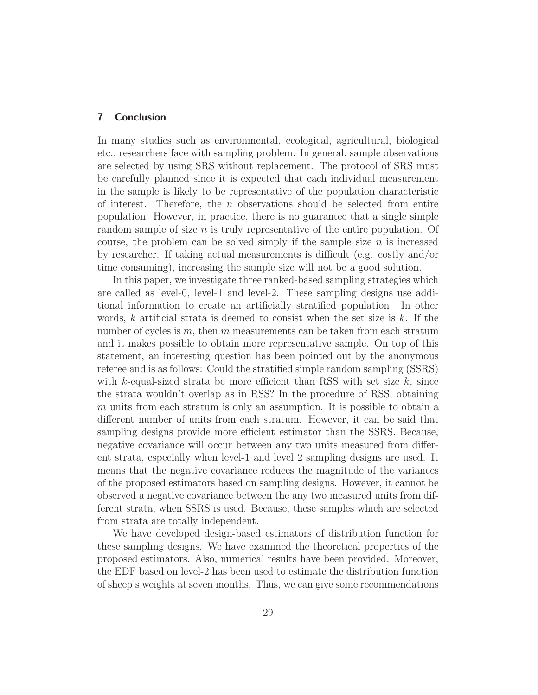### 7 Conclusion

In many studies such as environmental, ecological, agricultural, biological etc., researchers face with sampling problem. In general, sample observations are selected by using SRS without replacement. The protocol of SRS must be carefully planned since it is expected that each individual measurement in the sample is likely to be representative of the population characteristic of interest. Therefore, the n observations should be selected from entire population. However, in practice, there is no guarantee that a single simple random sample of size  $n$  is truly representative of the entire population. Of course, the problem can be solved simply if the sample size  $n$  is increased by researcher. If taking actual measurements is difficult (e.g. costly and/or time consuming), increasing the sample size will not be a good solution.

In this paper, we investigate three ranked-based sampling strategies which are called as level-0, level-1 and level-2. These sampling designs use additional information to create an artificially stratified population. In other words,  $k$  artificial strata is deemed to consist when the set size is  $k$ . If the number of cycles is  $m$ , then  $m$  measurements can be taken from each stratum and it makes possible to obtain more representative sample. On top of this statement, an interesting question has been pointed out by the anonymous referee and is as follows: Could the stratified simple random sampling (SSRS) with k-equal-sized strata be more efficient than RSS with set size  $k$ , since the strata wouldn't overlap as in RSS? In the procedure of RSS, obtaining m units from each stratum is only an assumption. It is possible to obtain a different number of units from each stratum. However, it can be said that sampling designs provide more efficient estimator than the SSRS. Because, negative covariance will occur between any two units measured from different strata, especially when level-1 and level 2 sampling designs are used. It means that the negative covariance reduces the magnitude of the variances of the proposed estimators based on sampling designs. However, it cannot be observed a negative covariance between the any two measured units from different strata, when SSRS is used. Because, these samples which are selected from strata are totally independent.

We have developed design-based estimators of distribution function for these sampling designs. We have examined the theoretical properties of the proposed estimators. Also, numerical results have been provided. Moreover, the EDF based on level-2 has been used to estimate the distribution function of sheep's weights at seven months. Thus, we can give some recommendations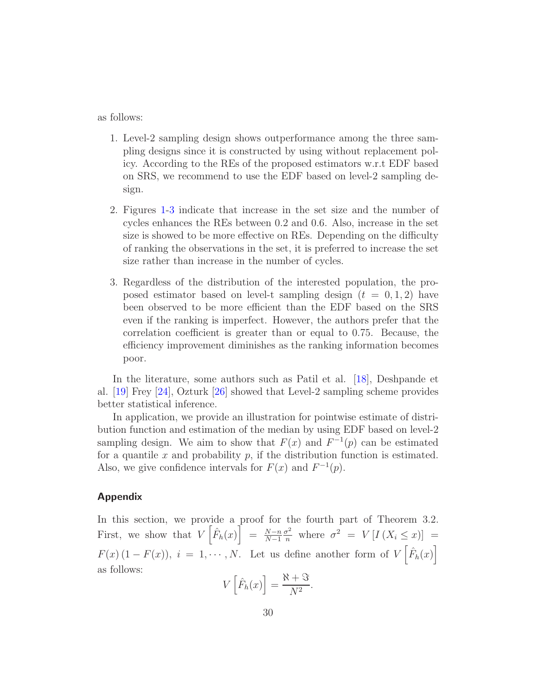as follows:

- 1. Level-2 sampling design shows outperformance among the three sampling designs since it is constructed by using without replacement policy. According to the REs of the proposed estimators w.r.t EDF based on SRS, we recommend to use the EDF based on level-2 sampling design.
- 2. Figures [1-](#page-14-0)[3](#page-16-0) indicate that increase in the set size and the number of cycles enhances the REs between 0.2 and 0.6. Also, increase in the set size is showed to be more effective on REs. Depending on the difficulty of ranking the observations in the set, it is preferred to increase the set size rather than increase in the number of cycles.
- 3. Regardless of the distribution of the interested population, the proposed estimator based on level-t sampling design  $(t = 0, 1, 2)$  have been observed to be more efficient than the EDF based on the SRS even if the ranking is imperfect. However, the authors prefer that the correlation coefficient is greater than or equal to 0.75. Because, the efficiency improvement diminishes as the ranking information becomes poor.

In the literature, some authors such as Patil et al. [\[18](#page-32-17)], Deshpande et al. [\[19](#page-32-18)] Frey [\[24](#page-33-4)], Ozturk [\[26](#page-33-6)] showed that Level-2 sampling scheme provides better statistical inference.

In application, we provide an illustration for pointwise estimate of distribution function and estimation of the median by using EDF based on level-2 sampling design. We aim to show that  $F(x)$  and  $F^{-1}(p)$  can be estimated for a quantile  $x$  and probability  $p$ , if the distribution function is estimated. Also, we give confidence intervals for  $F(x)$  and  $F^{-1}(p)$ .

### Appendix

In this section, we provide a proof for the fourth part of Theorem 3.2. First, we show that  $V\left[\hat{F}_h(x)\right] = \frac{N-n}{N-1}$  $N-1$  $\frac{\sigma^2}{n}$  where  $\sigma^2 = V[I(X_i \leq x)]$  =  $F(x) (1 - F(x)), i = 1, \dots, N.$  Let us define another form of  $V\left[\hat{F}_h(x)\right]$ as follows:

$$
V\left[\hat{F}_h(x)\right] = \frac{\aleph + \Im}{N^2}.
$$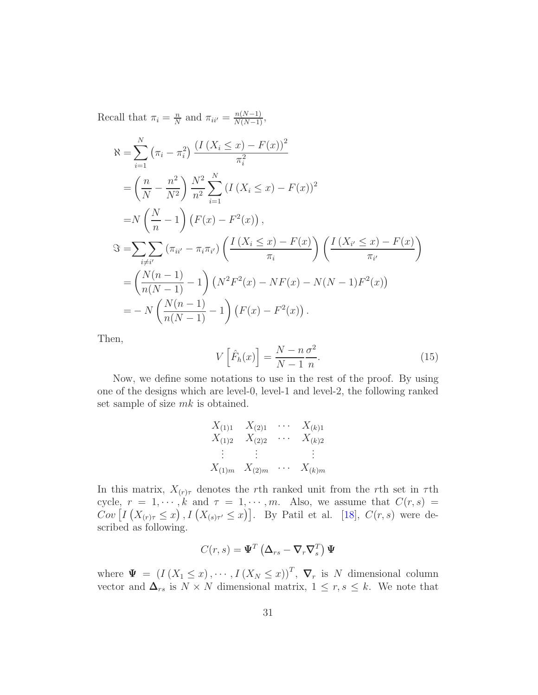Recall that  $\pi_i = \frac{n}{N}$  $\frac{n}{N}$  and  $\pi_{ii'} = \frac{n(N-1)}{N(N-1)},$ 

$$
\mathcal{R} = \sum_{i=1}^{N} (\pi_i - \pi_i^2) \frac{(I(X_i \le x) - F(x))^2}{\pi_i^2}
$$
  
\n
$$
= \left(\frac{n}{N} - \frac{n^2}{N^2}\right) \frac{N^2}{n^2} \sum_{i=1}^{N} (I(X_i \le x) - F(x))^2
$$
  
\n
$$
= N \left(\frac{N}{n} - 1\right) (F(x) - F^2(x)),
$$
  
\n
$$
\mathfrak{F} = \sum_{i \ne i'} \sum_{i \ne i'} (\pi_{ii'} - \pi_i \pi_{i'}) \left(\frac{I(X_i \le x) - F(x)}{\pi_i}\right) \left(\frac{I(X_{i'} \le x) - F(x)}{\pi_{i'}}\right)
$$
  
\n
$$
= \left(\frac{N(n-1)}{n(N-1)} - 1\right) (N^2 F^2(x) - NF(x) - N(N-1)F^2(x))
$$
  
\n
$$
= -N \left(\frac{N(n-1)}{n(N-1)} - 1\right) (F(x) - F^2(x)).
$$

Then,

$$
V\left[\hat{F}_h(x)\right] = \frac{N - n\,\sigma^2}{N - 1\,n}.\tag{15}
$$

Now, we define some notations to use in the rest of the proof. By using one of the designs which are level-0, level-1 and level-2, the following ranked set sample of size  $mk$  is obtained.

$$
X_{(1)1} \quad X_{(2)1} \quad \cdots \quad X_{(k)1}
$$
  
\n
$$
X_{(1)2} \quad X_{(2)2} \quad \cdots \quad X_{(k)2}
$$
  
\n
$$
\vdots \quad \vdots \quad \vdots
$$
  
\n
$$
X_{(1)m} \quad X_{(2)m} \quad \cdots \quad X_{(k)m}
$$

In this matrix,  $X_{(r)\tau}$  denotes the rth ranked unit from the rth set in  $\tau$ th cycle,  $r = 1, \dots, k$  and  $\tau = 1, \dots, m$ . Also, we assume that  $C(r, s)$  $Cov\left[I\left(X_{(r)\tau} \leq x\right), I\left(X_{(s)\tau'} \leq x\right)\right]$ . By Patil et al. [\[18](#page-32-17)],  $C(r, s)$  were described as following.

$$
C(r,s) = \mathbf{\Psi}^T \left( \mathbf{\Delta}_{rs} - \mathbf{\nabla}_r \mathbf{\nabla}_s^T \right) \mathbf{\Psi}
$$

where  $\Psi = (I(X_1 \leq x), \cdots, I(X_N \leq x))^T$ ,  $\nabla_r$  is N dimensional column vector and  $\Delta_{rs}$  is  $N \times N$  dimensional matrix,  $1 \leq r, s \leq k$ . We note that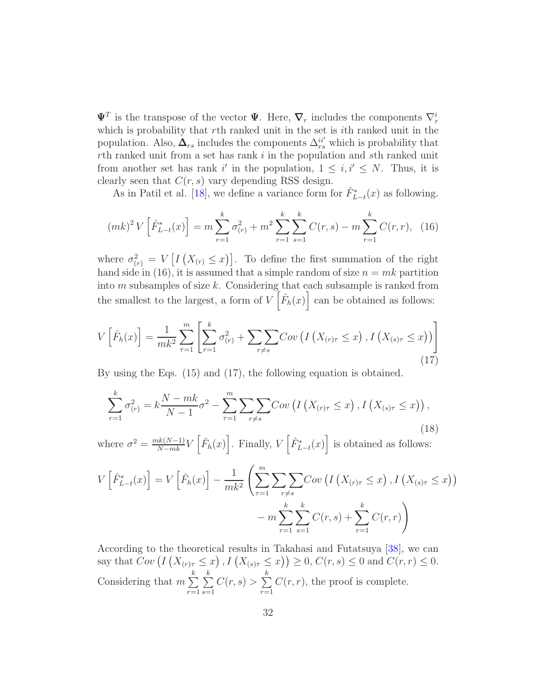$\Psi^T$  is the transpose of the vector  $\Psi$ . Here,  $\nabla_r$  includes the components  $\nabla_r^i$ which is probability that rth ranked unit in the set is ith ranked unit in the population. Also,  $\Delta_{rs}$  includes the components  $\Delta_{rs}^{ii'}$  which is probability that  $r$ th ranked unit from a set has rank  $i$  in the population and sth ranked unit from another set has rank i' in the population,  $1 \leq i, i' \leq N$ . Thus, it is clearly seen that  $C(r, s)$  vary depending RSS design.

As in Patil et al. [\[18\]](#page-32-17), we define a variance form for  $\hat{F}_{L-t}^*(x)$  as following.

$$
(mk)^{2}V\left[\hat{F}_{L-t}^{*}(x)\right] = m\sum_{r=1}^{k}\sigma_{(r)}^{2} + m^{2}\sum_{r=1}^{k}\sum_{s=1}^{k}C(r,s) - m\sum_{r=1}^{k}C(r,r), \quad (16)
$$

where  $\sigma_{(r)}^2 = V \left[ I \left( X_{(r)} \leq x \right) \right]$ . To define the first summation of the right hand side in (16), it is assumed that a simple random of size  $n = mk$  partition into  $m$  subsamples of size  $k$ . Considering that each subsample is ranked from the smallest to the largest, a form of  $V\left[\hat{F}_h(x)\right]$  can be obtained as follows:

$$
V\left[\hat{F}_h(x)\right] = \frac{1}{mk^2} \sum_{\tau=1}^m \left[ \sum_{r=1}^k \sigma_{(r)}^2 + \sum_{r \neq s} \sum Cov\left(I\left(X_{(r)\tau} \leq x\right), I\left(X_{(s)\tau} \leq x\right)\right) \right]
$$
\n(17)

By using the Eqs. (15) and (17), the following equation is obtained.

$$
\sum_{r=1}^{k} \sigma_{(r)}^{2} = k \frac{N - mk}{N - 1} \sigma^{2} - \sum_{\tau=1}^{m} \sum_{r \neq s} Cov\left(I\left(X_{(r)\tau} \leq x\right), I\left(X_{(s)\tau} \leq x\right)\right),\tag{18}
$$

where  $\sigma^2 = \frac{mk(N-1)}{N-mk}V\left[\hat{F}_h(x)\right]$ . Finally,  $V\left[\hat{F}_{L-t}^*(x)\right]$  is obtained as follows:

$$
V\left[\hat{F}_{L-t}^*(x)\right] = V\left[\hat{F}_h(x)\right] - \frac{1}{mk^2} \left(\sum_{\tau=1}^m \sum_{\tau \neq s} \sum_{\tau \neq s} Cov\left(I\left(X_{(\tau)\tau} \leq x\right), I\left(X_{(s)\tau} \leq x\right)\right) - m \sum_{r=1}^k \sum_{s=1}^k C(r,s) + \sum_{r=1}^k C(r,r)\right)
$$

According to the theoretical results in Takahasi and Futatsuya [\[38\]](#page-33-18), we can say that  $Cov(I(X_{(r)\tau} \leq x), I(X_{(s)\tau} \leq x)) \geq 0, C(r, s) \leq 0$  and  $C(r, r) \leq 0$ . Considering that  $m \sum$ k  $r=1$  $\sum$ k  $s=1$  $C(r,s) > \sum$ k  $r=1$  $C(r, r)$ , the proof is complete.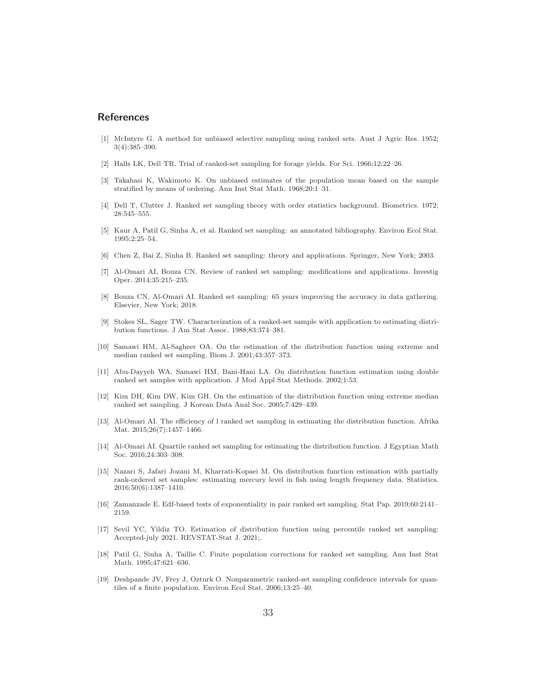### References

- <span id="page-32-0"></span>[1] McIntyre G. A method for unbiased selective sampling using ranked sets. Aust J Agric Res. 1952; 3(4):385–390.
- <span id="page-32-1"></span>[2] Halls LK, Dell TR. Trial of ranked-set sampling for forage yields. For Sci. 1966;12:22–26.
- <span id="page-32-2"></span>[3] Takahasi K, Wakimoto K. On unbiased estimates of the population mean based on the sample stratified by means of ordering. Ann Inst Stat Math. 1968;20:1–31.
- <span id="page-32-3"></span>[4] Dell T, Clutter J. Ranked set sampling theory with order statistics background. Biometrics. 1972; 28:545–555.
- <span id="page-32-4"></span>[5] Kaur A, Patil G, Sinha A, et al. Ranked set sampling: an annotated bibliography. Environ Ecol Stat. 1995;2:25–54.
- <span id="page-32-5"></span>[6] Chen Z, Bai Z, Sinha B. Ranked set sampling: theory and applications. Springer, New York; 2003.
- <span id="page-32-6"></span>[7] Al-Omari AI, Bouza CN. Review of ranked set sampling: modifications and applications. Investig Oper. 2014;35:215–235.
- <span id="page-32-7"></span>[8] Bouza CN, Al-Omari AI. Ranked set sampling: 65 years improving the accuracy in data gathering. Elsevier, New York; 2018.
- <span id="page-32-8"></span>[9] Stokes SL, Sager TW. Characterization of a ranked-set sample with application to estimating distribution functions. J Am Stat Assoc. 1988;83:374–381.
- <span id="page-32-9"></span>[10] Samawi HM, Al-Sagheer OA. On the estimation of the distribution function using extreme and median ranked set sampling. Biom J. 2001;43:357–373.
- <span id="page-32-10"></span>[11] Abu-Dayyeh WA, Samawi HM, Bani-Hani LA. On distribution function estimation using double ranked set samples with application. J Mod Appl Stat Methods. 2002;1:53.
- <span id="page-32-11"></span>[12] Kim DH, Kim DW, Kim GH. On the estimation of the distribution function using extreme median ranked set sampling. J Korean Data Anal Soc. 2005;7:429–439.
- <span id="page-32-12"></span>[13] Al-Omari AI. The efficiency of l ranked set sampling in estimating the distribution function. Afrika Mat. 2015;26(7):1457–1466.
- <span id="page-32-13"></span>[14] Al-Omari AI. Quartile ranked set sampling for estimating the distribution function. J Egyptian Math Soc. 2016;24:303–308.
- <span id="page-32-14"></span>[15] Nazari S, Jafari Jozani M, Kharrati-Kopaei M. On distribution function estimation with partially rank-ordered set samples: estimating mercury level in fish using length frequency data. Statistics. 2016;50(6):1387–1410.
- <span id="page-32-15"></span>[16] Zamanzade E. Edf-based tests of exponentiality in pair ranked set sampling. Stat Pap. 2019;60:2141– 2159.
- <span id="page-32-16"></span>[17] Sevil YC, Yildiz TO. Estimation of distribution function using percentile ranked set sampling: Accepted-july 2021. REVSTAT-Stat J. 2021;.
- <span id="page-32-17"></span>[18] Patil G, Sinha A, Taillie C. Finite population corrections for ranked set sampling. Ann Inst Stat Math. 1995;47:621–636.
- <span id="page-32-18"></span>[19] Deshpande JV, Frey J, Ozturk O. Nonparametric ranked-set sampling confidence intervals for quantiles of a finite population. Environ Ecol Stat. 2006;13:25–40.